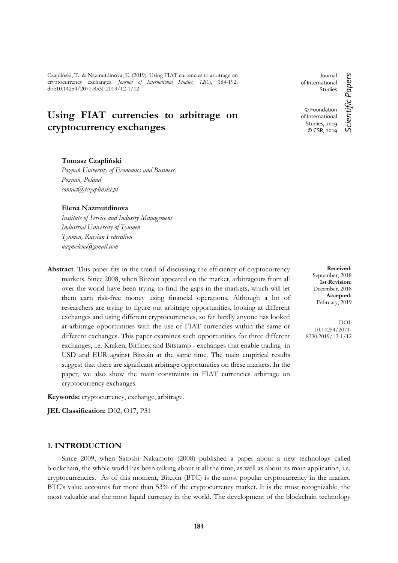Czapliński, T., & Nazmutdinova, E. (2019). Using FIAT currencies to arbitrage on cryptocurrency exchanges. *Journal of International Studies, 12*(1), 184-192. doi:10.14254/2071-8330.2019/12-1/12

# **Using FIAT currencies to arbitrage on cryptocurrency exchanges**

#### **Tomasz Czapliński**

*Poznań University of Economics and Business, Poznań, Poland contact@tczaplinski.pl*

#### **Elena Nazmutdinova**

*Institute of Service and Industry Management Industrial University of Tyumen Tyumen, Russian Federation nazmelena@gmail.com*

**Abstract**. This paper fits in the trend of discussing the efficiency of cryptocurrency markets. Since 2008, when Bitcoin appeared on the market, arbitrageurs from all over the world have been trying to find the gaps in the markets, which will let them earn risk-free money using financial operations. Although a lot of researchers are trying to figure out arbitrage opportunities, looking at different exchanges and using different cryptocurrencies, so far hardly anyone has looked at arbitrage opportunities with the use of FIAT currencies within the same or different exchanges. This paper examines such opportunities for three different exchanges, i.e. Kraken, Bitfinex and Bitstamp - exchanges that enable trading in USD and EUR against Bitcoin at the same time. The main empirical results suggest that there are significant arbitrage opportunities on these markets. In the paper, we also show the main constraints in FIAT currencies arbitrage on cryptocurrency exchanges.

**Keywords:** cryptocurrency, exchange, arbitrage.

**JEL Classification:** D02, O17, P31

## **1. INTRODUCTION**

Since 2009, when Satoshi Nakamoto (2008) published a paper about a new technology called blockchain, the whole world has been talking about it all the time, as well as about its main application, i.e. cryptocurrencies. As of this moment, Bitcoin (BTC) is the most popular cryptocurrency in the market. BTC's value accounts for more than 53% of the cryptocurrency market. It is the most recognizable, the most valuable and the most liquid currency in the world. The development of the blockchain technology

Journal of International Studies © Foundation of International

> Studies, 2019 © CSR, 2019

Scientific Papers *Scientific Papers*

**Received:** September, 2018 **1st Revision:** December, 2018 **Accepted:** February, 2019

DOI: 10.14254/2071- 8330.2019/12-1/12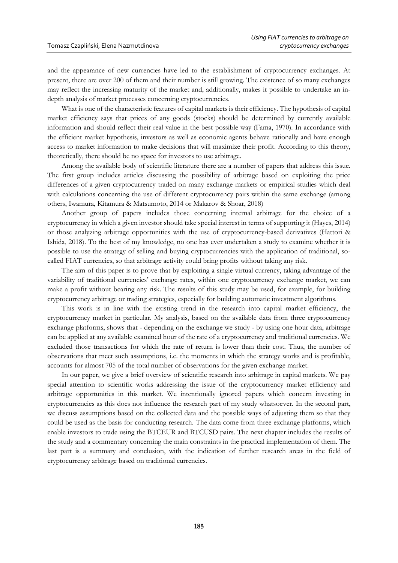and the appearance of new currencies have led to the establishment of cryptocurrency exchanges. At present, there are over 200 of them and their number is still growing. The existence of so many exchanges may reflect the increasing maturity of the market and, additionally, makes it possible to undertake an indepth analysis of market processes concerning cryptocurrencies.

What is one of the characteristic features of capital markets is their efficiency. The hypothesis of capital market efficiency says that prices of any goods (stocks) should be determined by currently available information and should reflect their real value in the best possible way (Fama, 1970). In accordance with the efficient market hypothesis, investors as well as economic agents behave rationally and have enough access to market information to make decisions that will maximize their profit. According to this theory, theoretically, there should be no space for investors to use arbitrage.

Among the available body of scientific literature there are a number of papers that address this issue. The first group includes articles discussing the possibility of arbitrage based on exploiting the price differences of a given cryptocurrency traded on many exchange markets or empirical studies which deal with calculations concerning the use of different cryptocurrency pairs within the same exchange (among others, Iwamura, Kitamura & Matsumoto, 2014 or Makarov & Shoar, 2018)

Another group of papers includes those concerning internal arbitrage for the choice of a cryptocurrency in which a given investor should take special interest in terms of supporting it (Hayes, 2014) or those analyzing arbitrage opportunities with the use of cryptocurrency-based derivatives (Hattori & Ishida, 2018). To the best of my knowledge, no one has ever undertaken a study to examine whether it is possible to use the strategy of selling and buying cryptocurrencies with the application of traditional, socalled FIAT currencies, so that arbitrage activity could bring profits without taking any risk.

The aim of this paper is to prove that by exploiting a single virtual currency, taking advantage of the variability of traditional currencies' exchange rates, within one cryptocurrency exchange market, we can make a profit without bearing any risk. The results of this study may be used, for example, for building cryptocurrency arbitrage or trading strategies, especially for building automatic investment algorithms.

This work is in line with the existing trend in the research into capital market efficiency, the cryptocurrency market in particular. My analysis, based on the available data from three cryptocurrency exchange platforms, shows that - depending on the exchange we study - by using one hour data, arbitrage can be applied at any available examined hour of the rate of a cryptocurrency and traditional currencies. We excluded those transactions for which the rate of return is lower than their cost. Thus, the number of observations that meet such assumptions, i.e. the moments in which the strategy works and is profitable, accounts for almost 705 of the total number of observations for the given exchange market.

In our paper, we give a brief overview of scientific research into arbitrage in capital markets. We pay special attention to scientific works addressing the issue of the cryptocurrency market efficiency and arbitrage opportunities in this market. We intentionally ignored papers which concern investing in cryptocurrencies as this does not influence the research part of my study whatsoever. In the second part, we discuss assumptions based on the collected data and the possible ways of adjusting them so that they could be used as the basis for conducting research. The data come from three exchange platforms, which enable investors to trade using the BTCEUR and BTCUSD pairs. The next chapter includes the results of the study and a commentary concerning the main constraints in the practical implementation of them. The last part is a summary and conclusion, with the indication of further research areas in the field of cryptocurrency arbitrage based on traditional currencies.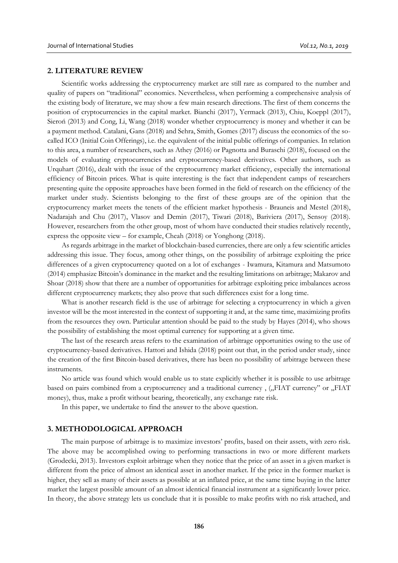#### **2. LITERATURE REVIEW**

Scientific works addressing the cryptocurrency market are still rare as compared to the number and quality of papers on "traditional" economics. Nevertheless, when performing a comprehensive analysis of the existing body of literature, we may show a few main research directions. The first of them concerns the position of cryptocurrencies in the capital market. Bianchi (2017), Yermack (2013), Chiu, Koeppl (2017), Sieroń (2013) and Cong, Li, Wang (2018) wonder whether cryptocurrency is money and whether it can be a payment method. Catalani, Gans (2018) and Sehra, Smith, Gomes (2017) discuss the economics of the socalled ICO (Initial Coin Offerings), i.e. the equivalent of the initial public offerings of companies. In relation to this area, a number of researchers, such as Athey (2016) or Pagnotta and Buraschi (2018), focused on the models of evaluating cryptocurrencies and cryptocurrency-based derivatives. Other authors, such as Urquhart (2016), dealt with the issue of the cryptocurrency market efficiency, especially the international efficiency of Bitcoin prices. What is quite interesting is the fact that independent camps of researchers presenting quite the opposite approaches have been formed in the field of research on the efficiency of the market under study. Scientists belonging to the first of these groups are of the opinion that the cryptocurrency market meets the tenets of the efficient market hypothesis - Brauneis and Mestel (2018), Nadarajah and Chu (2017), Vlasov and Demin (2017), Tiwari (2018), Bariviera (2017), Sensoy (2018). However, researchers from the other group, most of whom have conducted their studies relatively recently, express the opposite view – for example, Cheah (2018) or Yonghong (2018).

As regards arbitrage in the market of blockchain-based currencies, there are only a few scientific articles addressing this issue. They focus, among other things, on the possibility of arbitrage exploiting the price differences of a given cryptocurrency quoted on a lot of exchanges - Iwamura, Kitamura and Matsumoto (2014) emphasize Bitcoin's dominance in the market and the resulting limitations on arbitrage; Makarov and Shoar (2018) show that there are a number of opportunities for arbitrage exploiting price imbalances across different cryptocurrency markets; they also prove that such differences exist for a long time.

What is another research field is the use of arbitrage for selecting a cryptocurrency in which a given investor will be the most interested in the context of supporting it and, at the same time, maximizing profits from the resources they own. Particular attention should be paid to the study by Hayes (2014), who shows the possibility of establishing the most optimal currency for supporting at a given time.

The last of the research areas refers to the examination of arbitrage opportunities owing to the use of cryptocurrency-based derivatives. Hattori and Ishida (2018) point out that, in the period under study, since the creation of the first Bitcoin-based derivatives, there has been no possibility of arbitrage between these instruments.

No article was found which would enable us to state explicitly whether it is possible to use arbitrage based on pairs combined from a cryptocurrency and a traditional currency, ("FIAT currency" or "FIAT money), thus, make a profit without bearing, theoretically, any exchange rate risk.

In this paper, we undertake to find the answer to the above question.

## **3. METHODOLOGICAL APPROACH**

The main purpose of arbitrage is to maximize investors' profits, based on their assets, with zero risk. The above may be accomplished owing to performing transactions in two or more different markets (Grodecki, 2013). Investors exploit arbitrage when they notice that the price of an asset in a given market is different from the price of almost an identical asset in another market. If the price in the former market is higher, they sell as many of their assets as possible at an inflated price, at the same time buying in the latter market the largest possible amount of an almost identical financial instrument at a significantly lower price. In theory, the above strategy lets us conclude that it is possible to make profits with no risk attached, and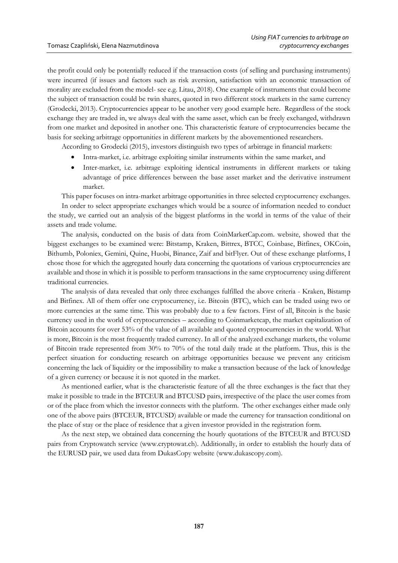the profit could only be potentially reduced if the transaction costs (of selling and purchasing instruments) were incurred (if issues and factors such as risk aversion, satisfaction with an economic transaction of morality are excluded from the model- see e.g. Litau, 2018). One example of instruments that could become the subject of transaction could be twin shares, quoted in two different stock markets in the same currency (Grodecki, 2013). Cryptocurrencies appear to be another very good example here. Regardless of the stock exchange they are traded in, we always deal with the same asset, which can be freely exchanged, withdrawn from one market and deposited in another one. This characteristic feature of cryptocurrencies became the basis for seeking arbitrage opportunities in different markets by the abovementioned researchers.

According to Grodecki (2015), investors distinguish two types of arbitrage in financial markets:

- Intra-market, i.e. arbitrage exploiting similar instruments within the same market, and
- Inter-market, i.e. arbitrage exploiting identical instruments in different markets or taking advantage of price differences between the base asset market and the derivative instrument market.

This paper focuses on intra-market arbitrage opportunities in three selected cryptocurrency exchanges.

In order to select appropriate exchanges which would be a source of information needed to conduct the study, we carried out an analysis of the biggest platforms in the world in terms of the value of their assets and trade volume.

The analysis, conducted on the basis of data from CoinMarketCap.com. website, showed that the biggest exchanges to be examined were: Bitstamp, Kraken, Bittrex, BTCC, Coinbase, Bitfinex, OKCoin, Bithumb, Poloniex, Gemini, Quine, Huobi, Binance, Zaif and bitFlyer. Out of these exchange platforms, I chose those for which the aggregated hourly data concerning the quotations of various cryptocurrencies are available and those in which it is possible to perform transactions in the same cryptocurrency using different traditional currencies.

The analysis of data revealed that only three exchanges fulfilled the above criteria - Kraken, Bistamp and Bitfinex. All of them offer one cryptocurrency, i.e. Bitcoin (BTC), which can be traded using two or more currencies at the same time. This was probably due to a few factors. First of all, Bitcoin is the basic currency used in the world of cryptocurrencies – according to Coinmarketcap, the market capitalization of Bitcoin accounts for over 53% of the value of all available and quoted cryptocurrencies in the world. What is more, Bitcoin is the most frequently traded currency. In all of the analyzed exchange markets, the volume of Bitcoin trade represented from 30% to 70% of the total daily trade at the platform. Thus, this is the perfect situation for conducting research on arbitrage opportunities because we prevent any criticism concerning the lack of liquidity or the impossibility to make a transaction because of the lack of knowledge of a given currency or because it is not quoted in the market.

As mentioned earlier, what is the characteristic feature of all the three exchanges is the fact that they make it possible to trade in the BTCEUR and BTCUSD pairs, irrespective of the place the user comes from or of the place from which the investor connects with the platform. The other exchanges either made only one of the above pairs (BTCEUR, BTCUSD) available or made the currency for transaction conditional on the place of stay or the place of residence that a given investor provided in the registration form.

As the next step, we obtained data concerning the hourly quotations of the BTCEUR and BTCUSD pairs from Cryptowatch service (www.cryptowat.ch). Additionally, in order to establish the hourly data of the EURUSD pair, we used data from DukasCopy website (www.dukascopy.com).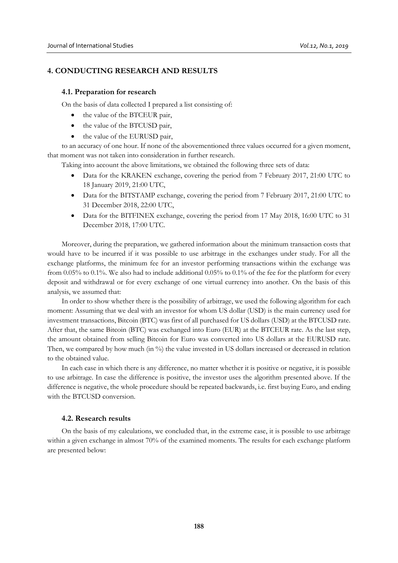## **4. CONDUCTING RESEARCH AND RESULTS**

#### **4.1. Preparation for research**

On the basis of data collected I prepared a list consisting of:

- the value of the BTCEUR pair,
- the value of the BTCUSD pair,
- the value of the EURUSD pair.

to an accuracy of one hour. If none of the abovementioned three values occurred for a given moment, that moment was not taken into consideration in further research.

Taking into account the above limitations, we obtained the following three sets of data:

- Data for the KRAKEN exchange, covering the period from 7 February 2017, 21:00 UTC to 18 January 2019, 21:00 UTC,
- Data for the BITSTAMP exchange, covering the period from 7 February 2017, 21:00 UTC to 31 December 2018, 22:00 UTC,
- Data for the BITFINEX exchange, covering the period from 17 May 2018, 16:00 UTC to 31 December 2018, 17:00 UTC.

Moreover, during the preparation, we gathered information about the minimum transaction costs that would have to be incurred if it was possible to use arbitrage in the exchanges under study. For all the exchange platforms, the minimum fee for an investor performing transactions within the exchange was from 0.05% to 0.1%. We also had to include additional 0.05% to 0.1% of the fee for the platform for every deposit and withdrawal or for every exchange of one virtual currency into another. On the basis of this analysis, we assumed that:

In order to show whether there is the possibility of arbitrage, we used the following algorithm for each moment: Assuming that we deal with an investor for whom US dollar (USD) is the main currency used for investment transactions, Bitcoin (BTC) was first of all purchased for US dollars (USD) at the BTCUSD rate. After that, the same Bitcoin (BTC) was exchanged into Euro (EUR) at the BTCEUR rate. As the last step, the amount obtained from selling Bitcoin for Euro was converted into US dollars at the EURUSD rate. Then, we compared by how much (in %) the value invested in US dollars increased or decreased in relation to the obtained value.

In each case in which there is any difference, no matter whether it is positive or negative, it is possible to use arbitrage. In case the difference is positive, the investor uses the algorithm presented above. If the difference is negative, the whole procedure should be repeated backwards, i.e. first buying Euro, and ending with the BTCUSD conversion.

#### **4.2. Research results**

On the basis of my calculations, we concluded that, in the extreme case, it is possible to use arbitrage within a given exchange in almost 70% of the examined moments. The results for each exchange platform are presented below: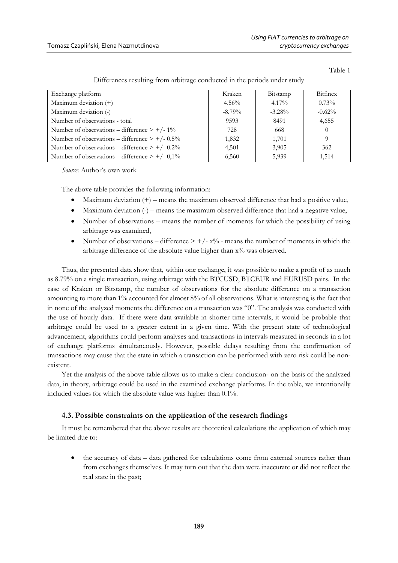Table 1

| Differences resulting from arbitrage conducted in the periods under study |           |           |          |
|---------------------------------------------------------------------------|-----------|-----------|----------|
| Exchange platform                                                         | Kraken    | Bitstamp  | Bitfinex |
| Maximum deviation $(+)$                                                   | $4.56\%$  | $4.17\%$  | 0.73%    |
| Maximum deviation (-)                                                     | $-8.79\%$ | $-3.28\%$ | $-0.62%$ |
| Number of observations - total                                            | 9593      | 8491      | 4.655    |
| Number of observations – difference $> +/- 1\%$                           | 728       | 668       |          |
| Number of observations – difference $> +/- 0.5\%$                         | 1,832     | 1,701     | Q        |
| Number of observations – difference $> +/- 0.2\%$                         | 4,501     | 3,905     | 362      |
| Number of observations – difference $> +/- 0.1\%$                         | 6,560     | 5,939     | 1,514    |

Differences resulting from arbitrage conducted in the periods under study

*Source*: Author's own work

The above table provides the following information:

- $\bullet$  Maximum deviation  $(+)$  means the maximum observed difference that had a positive value,
- Maximum deviation  $(-)$  means the maximum observed difference that had a negative value,
- Number of observations means the number of moments for which the possibility of using arbitrage was examined,
- Number of observations difference  $> +/- x\%$  means the number of moments in which the arbitrage difference of the absolute value higher than  $x\%$  was observed.

Thus, the presented data show that, within one exchange, it was possible to make a profit of as much as 8.79% on a single transaction, using arbitrage with the BTCUSD, BTCEUR and EURUSD pairs. In the case of Kraken or Bitstamp, the number of observations for the absolute difference on a transaction amounting to more than 1% accounted for almost 8% of all observations. What is interesting is the fact that in none of the analyzed moments the difference on a transaction was "0". The analysis was conducted with the use of hourly data. If there were data available in shorter time intervals, it would be probable that arbitrage could be used to a greater extent in a given time. With the present state of technological advancement, algorithms could perform analyses and transactions in intervals measured in seconds in a lot of exchange platforms simultaneously. However, possible delays resulting from the confirmation of transactions may cause that the state in which a transaction can be performed with zero risk could be nonexistent.

Yet the analysis of the above table allows us to make a clear conclusion- on the basis of the analyzed data, in theory, arbitrage could be used in the examined exchange platforms. In the table, we intentionally included values for which the absolute value was higher than 0.1%.

#### **4.3. Possible constraints on the application of the research findings**

It must be remembered that the above results are theoretical calculations the application of which may be limited due to:

 the accuracy of data – data gathered for calculations come from external sources rather than from exchanges themselves. It may turn out that the data were inaccurate or did not reflect the real state in the past;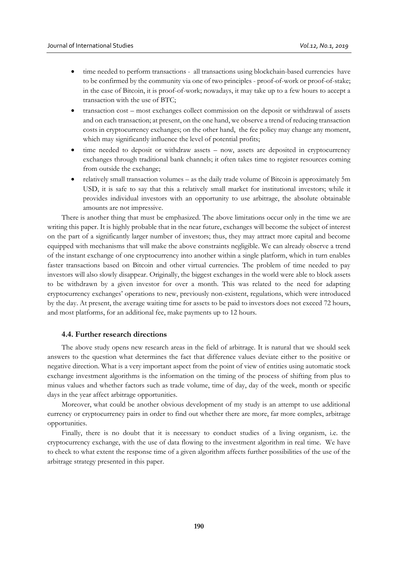- time needed to perform transactions all transactions using blockchain-based currencies have to be confirmed by the community via one of two principles - proof-of-work or proof-of-stake; in the case of Bitcoin, it is proof-of-work; nowadays, it may take up to a few hours to accept a transaction with the use of BTC;
- transaction cost most exchanges collect commission on the deposit or withdrawal of assets and on each transaction; at present, on the one hand, we observe a trend of reducing transaction costs in cryptocurrency exchanges; on the other hand, the fee policy may change any moment, which may significantly influence the level of potential profits;
- time needed to deposit or withdraw assets now, assets are deposited in cryptocurrency exchanges through traditional bank channels; it often takes time to register resources coming from outside the exchange;
- relatively small transaction volumes as the daily trade volume of Bitcoin is approximately 5m USD, it is safe to say that this a relatively small market for institutional investors; while it provides individual investors with an opportunity to use arbitrage, the absolute obtainable amounts are not impressive.

There is another thing that must be emphasized. The above limitations occur only in the time we are writing this paper. It is highly probable that in the near future, exchanges will become the subject of interest on the part of a significantly larger number of investors; thus, they may attract more capital and become equipped with mechanisms that will make the above constraints negligible. We can already observe a trend of the instant exchange of one cryptocurrency into another within a single platform, which in turn enables faster transactions based on Bitcoin and other virtual currencies. The problem of time needed to pay investors will also slowly disappear. Originally, the biggest exchanges in the world were able to block assets to be withdrawn by a given investor for over a month. This was related to the need for adapting cryptocurrency exchanges' operations to new, previously non-existent, regulations, which were introduced by the day. At present, the average waiting time for assets to be paid to investors does not exceed 72 hours, and most platforms, for an additional fee, make payments up to 12 hours.

### **4.4. Further research directions**

The above study opens new research areas in the field of arbitrage. It is natural that we should seek answers to the question what determines the fact that difference values deviate either to the positive or negative direction. What is a very important aspect from the point of view of entities using automatic stock exchange investment algorithms is the information on the timing of the process of shifting from plus to minus values and whether factors such as trade volume, time of day, day of the week, month or specific days in the year affect arbitrage opportunities.

Moreover, what could be another obvious development of my study is an attempt to use additional currency or cryptocurrency pairs in order to find out whether there are more, far more complex, arbitrage opportunities.

Finally, there is no doubt that it is necessary to conduct studies of a living organism, i.e. the cryptocurrency exchange, with the use of data flowing to the investment algorithm in real time. We have to check to what extent the response time of a given algorithm affects further possibilities of the use of the arbitrage strategy presented in this paper.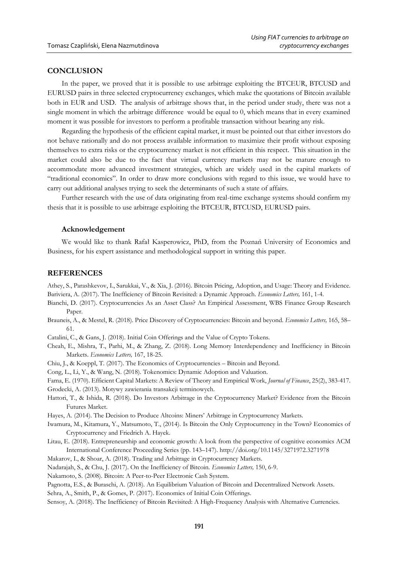## **CONCLUSION**

In the paper, we proved that it is possible to use arbitrage exploiting the BTCEUR, BTCUSD and EURUSD pairs in three selected cryptocurrency exchanges, which make the quotations of Bitcoin available both in EUR and USD. The analysis of arbitrage shows that, in the period under study, there was not a single moment in which the arbitrage difference would be equal to 0, which means that in every examined moment it was possible for investors to perform a profitable transaction without bearing any risk.

Regarding the hypothesis of the efficient capital market, it must be pointed out that either investors do not behave rationally and do not process available information to maximize their profit without exposing themselves to extra risks or the cryptocurrency market is not efficient in this respect. This situation in the market could also be due to the fact that virtual currency markets may not be mature enough to accommodate more advanced investment strategies, which are widely used in the capital markets of "traditional economics". In order to draw more conclusions with regard to this issue, we would have to carry out additional analyses trying to seek the determinants of such a state of affairs.

Further research with the use of data originating from real-time exchange systems should confirm my thesis that it is possible to use arbitrage exploiting the BTCEUR, BTCUSD, EURUSD pairs.

## **Acknowledgement**

We would like to thank Rafał Kasperowicz, PhD, from the Poznań University of Economics and Business, for his expert assistance and methodological support in writing this paper.

#### **REFERENCES**

Athey, S., Parashkevov, I., Sarukkai, V., & Xia, J. (2016). Bitcoin Pricing, Adoption, and Usage: Theory and Evidence. Bariviera, A. (2017). The Inefficiency of Bitcoin Revisited: a Dynamic Approach. *Economics Letters,* 161, 1-4.

- Bianchi, D. (2017). Cryptocurrencies As an Asset Class? An Empirical Assessment, WBS Finance Group Research Paper.
- Brauneis, A., & Mestel, R. (2018). Price Discovery of Cryptocurrencies: Bitcoin and beyond. *Economics Letters,* 165, 58– 61.
- Catalini, C., & Gans, J. (2018). Initial Coin Offerings and the Value of Crypto Tokens.
- Cheah, E., Mishra, T., Parhi, M., & Zhang, Z. (2018). Long Memory Interdependency and Inefficiency in Bitcoin Markets. *Economics Letters,* 167, 18-25.

Chiu, J., & Koeppl, T. (2017). The Economics of Cryptocurrencies – Bitcoin and Beyond.

Cong, L., Li, Y., & Wang, N. (2018). Tokenomics: Dynamic Adoption and Valuation.

- Fama, E. (1970). Efficient Capital Markets: A Review of Theory and Empirical Work, *Journal of Finance*, 25(2), 383-417.
- Grodecki, A. (2013). Motywy zawierania transakcji terminowych.
- Hattori, T., & Ishida, R. (2018). Do Investors Arbitrage in the Cryptocurrency Market? Evidence from the Bitcoin Futures Market.
- Hayes, A. (2014). The Decision to Produce Altcoins: Miners' Arbitrage in Cryptocurrency Markets.
- Iwamura, M., Kitamura, Y., Matsumoto, T., (2014). Is Bitcoin the Only Cryptocurrency in the Town? Economics of Cryptocurrency and Friedrich A. Hayek.
- Litau, E. (2018). Entrepreneurship and economic growth: A look from the perspective of cognitive economics ACM International Conference Proceeding Series (pp. 143–147). http://doi.org/10.1145/3271972.3271978
- Makarov, I., & Shoar, A. (2018). Trading and Arbitrage in Cryptocurrency Markets.
- Nadarajah, S., & Chu, J. (2017). On the Inefficiency of Bitcoin*. Economics Letters,* 150, 6-9.
- Nakamoto, S. (2008). Bitcoin: A Peer-to-Peer Electronic Cash System.

Pagnotta, E.S., & Buraschi, A. (2018). An Equilibrium Valuation of Bitcoin and Decentralized Network Assets.

Sehra, A., Smith, P., & Gomes, P. (2017). Economics of Initial Coin Offerings.

Sensoy, A. (2018). The Inefficiency of Bitcoin Revisited: A High-Frequency Analysis with Alternative Currencies.